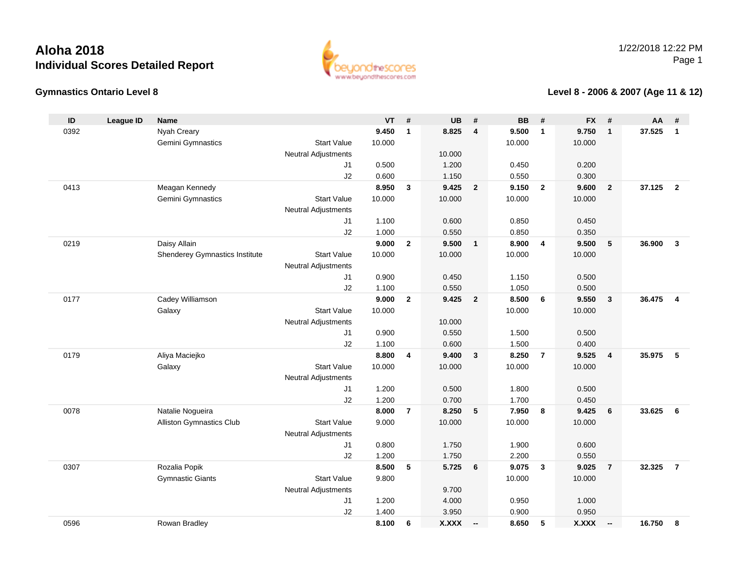

#### **Gymnastics Ontario Level 8**

#### **Level 8 - 2006 & 2007 (Age 11 & 12)**

| ID   | <b>League ID</b> | <b>Name</b>                    |                            | <b>VT</b> | #                       | <b>UB</b>    | #                       | <b>BB</b> | #                       | <b>FX</b>    | #                        | AA     | #                       |
|------|------------------|--------------------------------|----------------------------|-----------|-------------------------|--------------|-------------------------|-----------|-------------------------|--------------|--------------------------|--------|-------------------------|
| 0392 |                  | Nyah Creary                    |                            | 9.450     | $\mathbf{1}$            | 8.825        | $\overline{4}$          | 9.500     | $\overline{1}$          | 9.750        | $\mathbf{1}$             | 37.525 | $\mathbf{1}$            |
|      |                  | Gemini Gymnastics              | <b>Start Value</b>         | 10.000    |                         |              |                         | 10.000    |                         | 10.000       |                          |        |                         |
|      |                  |                                | <b>Neutral Adjustments</b> |           |                         | 10.000       |                         |           |                         |              |                          |        |                         |
|      |                  |                                | J <sub>1</sub>             | 0.500     |                         | 1.200        |                         | 0.450     |                         | 0.200        |                          |        |                         |
|      |                  |                                | J2                         | 0.600     |                         | 1.150        |                         | 0.550     |                         | 0.300        |                          |        |                         |
| 0413 |                  | Meagan Kennedy                 |                            | 8.950     | $\mathbf{3}$            | 9.425        | $\overline{2}$          | 9.150     | $\overline{\mathbf{2}}$ | 9.600        | $\overline{2}$           | 37.125 | $\overline{\mathbf{2}}$ |
|      |                  | Gemini Gymnastics              | <b>Start Value</b>         | 10.000    |                         | 10.000       |                         | 10.000    |                         | 10.000       |                          |        |                         |
|      |                  |                                | <b>Neutral Adjustments</b> |           |                         |              |                         |           |                         |              |                          |        |                         |
|      |                  |                                | J1                         | 1.100     |                         | 0.600        |                         | 0.850     |                         | 0.450        |                          |        |                         |
|      |                  |                                | J2                         | 1.000     |                         | 0.550        |                         | 0.850     |                         | 0.350        |                          |        |                         |
| 0219 |                  | Daisy Allain                   |                            | 9.000     | $\mathbf{2}$            | 9.500        | $\overline{1}$          | 8.900     | $\overline{\mathbf{4}}$ | 9.500        | 5                        | 36.900 | $\mathbf{3}$            |
|      |                  | Shenderey Gymnastics Institute | <b>Start Value</b>         | 10.000    |                         | 10.000       |                         | 10.000    |                         | 10.000       |                          |        |                         |
|      |                  |                                | <b>Neutral Adjustments</b> |           |                         |              |                         |           |                         |              |                          |        |                         |
|      |                  |                                | J <sub>1</sub>             | 0.900     |                         | 0.450        |                         | 1.150     |                         | 0.500        |                          |        |                         |
|      |                  |                                | J2                         | 1.100     |                         | 0.550        |                         | 1.050     |                         | 0.500        |                          |        |                         |
| 0177 |                  | Cadey Williamson               |                            | 9.000     | $\overline{2}$          | 9.425        | $\overline{\mathbf{2}}$ | 8.500     | 6                       | 9.550        | $\mathbf{3}$             | 36.475 | $\overline{4}$          |
|      |                  | Galaxy                         | <b>Start Value</b>         | 10.000    |                         | 10.000       |                         | 10.000    |                         | 10.000       |                          |        |                         |
|      |                  |                                | <b>Neutral Adjustments</b> | 0.900     |                         | 0.550        |                         | 1.500     |                         | 0.500        |                          |        |                         |
|      |                  |                                | J1<br>J2                   | 1.100     |                         | 0.600        |                         | 1.500     |                         | 0.400        |                          |        |                         |
| 0179 |                  | Aliya Maciejko                 |                            | 8.800     | $\overline{\mathbf{4}}$ | 9.400        | $\mathbf{3}$            | 8.250     | $\overline{7}$          | 9.525        | $\overline{\mathbf{4}}$  | 35.975 | 5                       |
|      |                  | Galaxy                         | <b>Start Value</b>         | 10.000    |                         | 10.000       |                         | 10.000    |                         | 10.000       |                          |        |                         |
|      |                  |                                | <b>Neutral Adjustments</b> |           |                         |              |                         |           |                         |              |                          |        |                         |
|      |                  |                                | J1                         | 1.200     |                         | 0.500        |                         | 1.800     |                         | 0.500        |                          |        |                         |
|      |                  |                                | J2                         | 1.200     |                         | 0.700        |                         | 1.700     |                         | 0.450        |                          |        |                         |
| 0078 |                  | Natalie Nogueira               |                            | 8.000     | $\overline{7}$          | 8.250        | 5                       | 7.950     | 8                       | 9.425        | 6                        | 33.625 | 6                       |
|      |                  | Alliston Gymnastics Club       | <b>Start Value</b>         | 9.000     |                         | 10.000       |                         | 10.000    |                         | 10.000       |                          |        |                         |
|      |                  |                                | <b>Neutral Adjustments</b> |           |                         |              |                         |           |                         |              |                          |        |                         |
|      |                  |                                | J <sub>1</sub>             | 0.800     |                         | 1.750        |                         | 1.900     |                         | 0.600        |                          |        |                         |
|      |                  |                                | J2                         | 1.200     |                         | 1.750        |                         | 2.200     |                         | 0.550        |                          |        |                         |
| 0307 |                  | Rozalia Popik                  |                            | 8.500     | 5                       | 5.725        | 6                       | 9.075     | $\mathbf{3}$            | 9.025        | $\overline{7}$           | 32.325 | $\overline{7}$          |
|      |                  | <b>Gymnastic Giants</b>        | <b>Start Value</b>         | 9.800     |                         |              |                         | 10.000    |                         | 10.000       |                          |        |                         |
|      |                  |                                | <b>Neutral Adjustments</b> |           |                         | 9.700        |                         |           |                         |              |                          |        |                         |
|      |                  |                                | J1                         | 1.200     |                         | 4.000        |                         | 0.950     |                         | 1.000        |                          |        |                         |
|      |                  |                                | J2                         | 1.400     |                         | 3.950        |                         | 0.900     |                         | 0.950        |                          |        |                         |
| 0596 |                  | Rowan Bradley                  |                            | 8.100     | 6                       | <b>X.XXX</b> | $\sim$                  | 8.650     | 5                       | <b>X.XXX</b> | $\overline{\phantom{a}}$ | 16.750 | 8                       |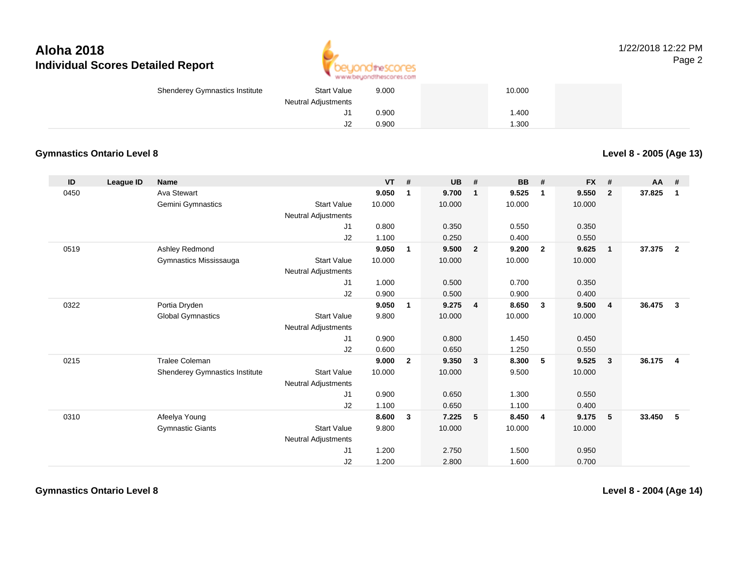

| <b>Start Value</b><br><b>Shenderey Gymnastics Institute</b> | 9.000 | 10.000 |  |
|-------------------------------------------------------------|-------|--------|--|
| Neutral Adjustments                                         |       |        |  |
|                                                             | 0.900 | .400   |  |
| υZ                                                          | 0.900 | .300   |  |

### **Gymnastics Ontario Level 8**

**Level 8 - 2005 (Age 13)**

| ID   | League ID | <b>Name</b>                    |                            | $VT$ # |                | <b>UB</b> | #                       | <b>BB</b> | #              | <b>FX</b> | #              | <b>AA</b> | #              |
|------|-----------|--------------------------------|----------------------------|--------|----------------|-----------|-------------------------|-----------|----------------|-----------|----------------|-----------|----------------|
| 0450 |           | Ava Stewart                    |                            | 9.050  | 1              | 9.700     | 1                       | 9.525     | -1             | 9.550     | $\overline{2}$ | 37.825    | 1              |
|      |           | Gemini Gymnastics              | <b>Start Value</b>         | 10.000 |                | 10.000    |                         | 10.000    |                | 10.000    |                |           |                |
|      |           |                                | <b>Neutral Adjustments</b> |        |                |           |                         |           |                |           |                |           |                |
|      |           |                                | J1                         | 0.800  |                | 0.350     |                         | 0.550     |                | 0.350     |                |           |                |
|      |           |                                | J2                         | 1.100  |                | 0.250     |                         | 0.400     |                | 0.550     |                |           |                |
| 0519 |           | Ashley Redmond                 |                            | 9.050  | $\mathbf{1}$   | 9.500     | $\overline{2}$          | 9.200     | $\overline{2}$ | 9.625     | $\mathbf{1}$   | 37.375    | $\overline{2}$ |
|      |           | Gymnastics Mississauga         | <b>Start Value</b>         | 10.000 |                | 10.000    |                         | 10.000    |                | 10.000    |                |           |                |
|      |           |                                | <b>Neutral Adjustments</b> |        |                |           |                         |           |                |           |                |           |                |
|      |           |                                | J1                         | 1.000  |                | 0.500     |                         | 0.700     |                | 0.350     |                |           |                |
|      |           |                                | J2                         | 0.900  |                | 0.500     |                         | 0.900     |                | 0.400     |                |           |                |
| 0322 |           | Portia Dryden                  |                            | 9.050  | $\mathbf{1}$   | 9.275     | $\overline{\mathbf{4}}$ | 8.650     | $\mathbf{3}$   | 9.500     | $\overline{4}$ | 36.475    | $\mathbf{3}$   |
|      |           | <b>Global Gymnastics</b>       | <b>Start Value</b>         | 9.800  |                | 10.000    |                         | 10.000    |                | 10.000    |                |           |                |
|      |           |                                | <b>Neutral Adjustments</b> |        |                |           |                         |           |                |           |                |           |                |
|      |           |                                | J1                         | 0.900  |                | 0.800     |                         | 1.450     |                | 0.450     |                |           |                |
|      |           |                                | J2                         | 0.600  |                | 0.650     |                         | 1.250     |                | 0.550     |                |           |                |
| 0215 |           | <b>Tralee Coleman</b>          |                            | 9.000  | $\overline{2}$ | 9.350     | $\mathbf{3}$            | 8.300     | 5              | 9.525     | $\mathbf{3}$   | 36.175    | $\overline{4}$ |
|      |           | Shenderey Gymnastics Institute | <b>Start Value</b>         | 10.000 |                | 10.000    |                         | 9.500     |                | 10.000    |                |           |                |
|      |           |                                | <b>Neutral Adjustments</b> |        |                |           |                         |           |                |           |                |           |                |
|      |           |                                | J1                         | 0.900  |                | 0.650     |                         | 1.300     |                | 0.550     |                |           |                |
|      |           |                                | J2                         | 1.100  |                | 0.650     |                         | 1.100     |                | 0.400     |                |           |                |
| 0310 |           | Afeelya Young                  |                            | 8.600  | 3              | 7.225     | 5                       | 8.450     | $\overline{4}$ | 9.175     | 5              | 33.450    | 5              |
|      |           | <b>Gymnastic Giants</b>        | <b>Start Value</b>         | 9.800  |                | 10.000    |                         | 10.000    |                | 10.000    |                |           |                |
|      |           |                                | <b>Neutral Adjustments</b> |        |                |           |                         |           |                |           |                |           |                |
|      |           |                                | J1                         | 1.200  |                | 2.750     |                         | 1.500     |                | 0.950     |                |           |                |
|      |           |                                | J2                         | 1.200  |                | 2.800     |                         | 1.600     |                | 0.700     |                |           |                |

**Gymnastics Ontario Level 8**

**Level 8 - 2004 (Age 14)**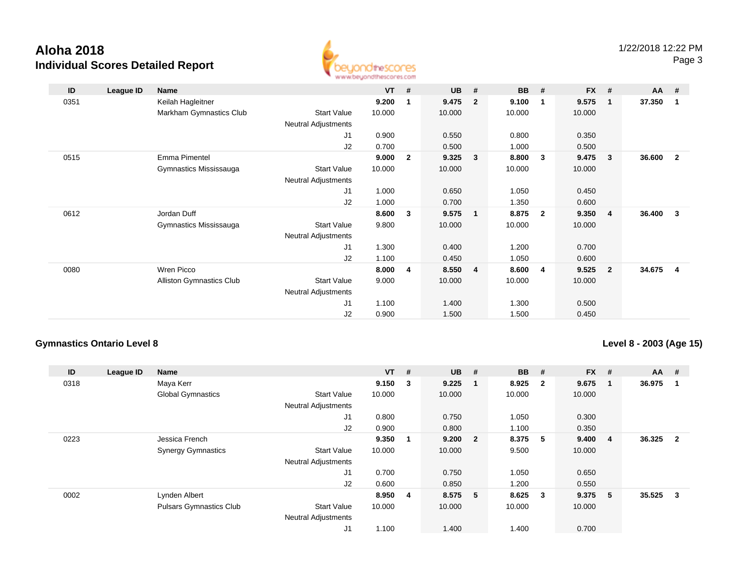

| ID   | League ID | Name                            |                            | $VT$ # |                | <b>UB</b> | #              | <b>BB</b> | #                       | <b>FX</b> | #              | <b>AA</b> | #              |
|------|-----------|---------------------------------|----------------------------|--------|----------------|-----------|----------------|-----------|-------------------------|-----------|----------------|-----------|----------------|
| 0351 |           | Keilah Hagleitner               |                            | 9.200  | 1              | 9.475     | $\mathbf{2}$   | 9.100     | -1                      | 9.575     | $\mathbf 1$    | 37.350    | $\mathbf 1$    |
|      |           | Markham Gymnastics Club         | <b>Start Value</b>         | 10.000 |                | 10.000    |                | 10.000    |                         | 10.000    |                |           |                |
|      |           |                                 | <b>Neutral Adjustments</b> |        |                |           |                |           |                         |           |                |           |                |
|      |           |                                 | J <sub>1</sub>             | 0.900  |                | 0.550     |                | 0.800     |                         | 0.350     |                |           |                |
|      |           |                                 | J2                         | 0.700  |                | 0.500     |                | 1.000     |                         | 0.500     |                |           |                |
| 0515 |           | Emma Pimentel                   |                            | 9.000  | $\overline{2}$ | 9.325     | $\mathbf{3}$   | 8.800     | $\mathbf{3}$            | 9.475     | - 3            | 36.600    | $\overline{2}$ |
|      |           | Gymnastics Mississauga          | <b>Start Value</b>         | 10.000 |                | 10.000    |                | 10.000    |                         | 10.000    |                |           |                |
|      |           |                                 | <b>Neutral Adjustments</b> |        |                |           |                |           |                         |           |                |           |                |
|      |           |                                 | J <sub>1</sub>             | 1.000  |                | 0.650     |                | 1.050     |                         | 0.450     |                |           |                |
|      |           |                                 | J2                         | 1.000  |                | 0.700     |                | 1.350     |                         | 0.600     |                |           |                |
| 0612 |           | Jordan Duff                     |                            | 8.600  | 3              | 9.575     | $\mathbf{1}$   | 8.875     | $\overline{\mathbf{2}}$ | 9.350     | -4             | 36.400    | 3              |
|      |           | Gymnastics Mississauga          | <b>Start Value</b>         | 9.800  |                | 10.000    |                | 10.000    |                         | 10.000    |                |           |                |
|      |           |                                 | <b>Neutral Adjustments</b> |        |                |           |                |           |                         |           |                |           |                |
|      |           |                                 | J <sub>1</sub>             | 1.300  |                | 0.400     |                | 1.200     |                         | 0.700     |                |           |                |
|      |           |                                 | J2                         | 1.100  |                | 0.450     |                | 1.050     |                         | 0.600     |                |           |                |
| 0080 |           | Wren Picco                      |                            | 8.000  | 4              | 8.550     | $\overline{4}$ | 8.600     | 4                       | 9.525     | $\overline{2}$ | 34.675    | 4              |
|      |           | <b>Alliston Gymnastics Club</b> | <b>Start Value</b>         | 9.000  |                | 10.000    |                | 10.000    |                         | 10.000    |                |           |                |
|      |           |                                 | Neutral Adjustments        |        |                |           |                |           |                         |           |                |           |                |
|      |           |                                 | J <sub>1</sub>             | 1.100  |                | 1.400     |                | 1.300     |                         | 0.500     |                |           |                |
|      |           |                                 | J2                         | 0.900  |                | 1.500     |                | 1.500     |                         | 0.450     |                |           |                |

### **Gymnastics Ontario Level 8**

**Level 8 - 2003 (Age 15)**

| ID   | League ID | Name                           |                            | $VT$ #  |    | <b>UB</b> | #   | <b>BB</b> | #                       | <b>FX</b> | #  | $AA$ # |                         |
|------|-----------|--------------------------------|----------------------------|---------|----|-----------|-----|-----------|-------------------------|-----------|----|--------|-------------------------|
| 0318 |           | Maya Kerr                      |                            | 9.150   | 3  | 9.225     | - 1 | 8.925     | $\overline{\mathbf{2}}$ | 9.675     | -1 | 36.975 |                         |
|      |           | <b>Global Gymnastics</b>       | <b>Start Value</b>         | 10.000  |    | 10.000    |     | 10.000    |                         | 10.000    |    |        |                         |
|      |           |                                | <b>Neutral Adjustments</b> |         |    |           |     |           |                         |           |    |        |                         |
|      |           |                                | J1                         | 0.800   |    | 0.750     |     | 1.050     |                         | 0.300     |    |        |                         |
|      |           |                                | J2                         | 0.900   |    | 0.800     |     | 1.100     |                         | 0.350     |    |        |                         |
| 0223 |           | Jessica French                 |                            | 9.350   | -1 | 9.200 2   |     | 8.375     | 5                       | 9.400     | 4  | 36.325 | $\overline{\mathbf{2}}$ |
|      |           | <b>Synergy Gymnastics</b>      | <b>Start Value</b>         | 10.000  |    | 10.000    |     | 9.500     |                         | 10.000    |    |        |                         |
|      |           |                                | <b>Neutral Adjustments</b> |         |    |           |     |           |                         |           |    |        |                         |
|      |           |                                | J <sub>1</sub>             | 0.700   |    | 0.750     |     | 1.050     |                         | 0.650     |    |        |                         |
|      |           |                                | J2                         | 0.600   |    | 0.850     |     | 1.200     |                         | 0.550     |    |        |                         |
| 0002 |           | Lynden Albert                  |                            | 8.950 4 |    | 8.575 5   |     | 8.625     | $\overline{\mathbf{3}}$ | 9.375     | 5  | 35.525 | 3                       |
|      |           | <b>Pulsars Gymnastics Club</b> | <b>Start Value</b>         | 10.000  |    | 10.000    |     | 10.000    |                         | 10.000    |    |        |                         |
|      |           |                                | <b>Neutral Adjustments</b> |         |    |           |     |           |                         |           |    |        |                         |
|      |           |                                | J1                         | 1.100   |    | 1.400     |     | 1.400     |                         | 0.700     |    |        |                         |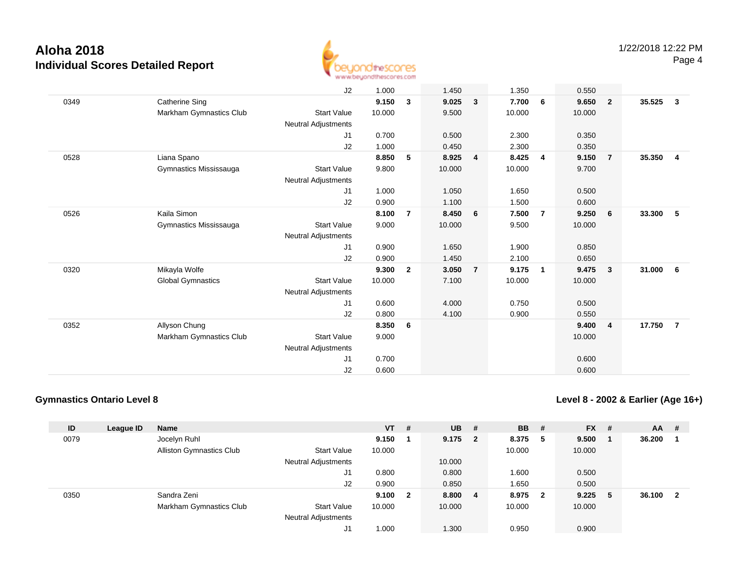

|      |                          | J2                         | 1.000  |                | 1.450  |                | 1.350  |                | 0.550  |                |        |                |
|------|--------------------------|----------------------------|--------|----------------|--------|----------------|--------|----------------|--------|----------------|--------|----------------|
| 0349 | <b>Catherine Sing</b>    |                            | 9.150  | 3              | 9.025  | $\mathbf{3}$   | 7.700  | 6              | 9.650  | $\overline{2}$ | 35.525 | $\mathbf{3}$   |
|      | Markham Gymnastics Club  | <b>Start Value</b>         | 10.000 |                | 9.500  |                | 10.000 |                | 10.000 |                |        |                |
|      |                          | Neutral Adjustments        |        |                |        |                |        |                |        |                |        |                |
|      |                          | J1                         | 0.700  |                | 0.500  |                | 2.300  |                | 0.350  |                |        |                |
|      |                          | J2                         | 1.000  |                | 0.450  |                | 2.300  |                | 0.350  |                |        |                |
| 0528 | Liana Spano              |                            | 8.850  | 5              | 8.925  | $\overline{4}$ | 8.425  | $\overline{4}$ | 9.150  | $\overline{7}$ | 35.350 | $\overline{4}$ |
|      | Gymnastics Mississauga   | <b>Start Value</b>         | 9.800  |                | 10.000 |                | 10.000 |                | 9.700  |                |        |                |
|      |                          | Neutral Adjustments        |        |                |        |                |        |                |        |                |        |                |
|      |                          | J1                         | 1.000  |                | 1.050  |                | 1.650  |                | 0.500  |                |        |                |
|      |                          | J2                         | 0.900  |                | 1.100  |                | 1.500  |                | 0.600  |                |        |                |
| 0526 | Kaila Simon              |                            | 8.100  | $\overline{7}$ | 8.450  | 6              | 7.500  | $\overline{7}$ | 9.250  | 6              | 33.300 | 5              |
|      | Gymnastics Mississauga   | <b>Start Value</b>         | 9.000  |                | 10.000 |                | 9.500  |                | 10.000 |                |        |                |
|      |                          | <b>Neutral Adjustments</b> |        |                |        |                |        |                |        |                |        |                |
|      |                          | J1                         | 0.900  |                | 1.650  |                | 1.900  |                | 0.850  |                |        |                |
|      |                          | J2                         | 0.900  |                | 1.450  |                | 2.100  |                | 0.650  |                |        |                |
| 0320 | Mikayla Wolfe            |                            | 9.300  | $\overline{2}$ | 3.050  | $\overline{7}$ | 9.175  | $\overline{1}$ | 9.475  | $\mathbf{3}$   | 31.000 | 6              |
|      | <b>Global Gymnastics</b> | <b>Start Value</b>         | 10.000 |                | 7.100  |                | 10.000 |                | 10.000 |                |        |                |
|      |                          | <b>Neutral Adjustments</b> |        |                |        |                |        |                |        |                |        |                |
|      |                          | J1                         | 0.600  |                | 4.000  |                | 0.750  |                | 0.500  |                |        |                |
|      |                          | J2                         | 0.800  |                | 4.100  |                | 0.900  |                | 0.550  |                |        |                |
| 0352 | Allyson Chung            |                            | 8.350  | 6              |        |                |        |                | 9.400  | $\overline{4}$ | 17.750 | $\overline{7}$ |
|      | Markham Gymnastics Club  | <b>Start Value</b>         | 9.000  |                |        |                |        |                | 10.000 |                |        |                |
|      |                          | <b>Neutral Adjustments</b> |        |                |        |                |        |                |        |                |        |                |
|      |                          | J1                         | 0.700  |                |        |                |        |                | 0.600  |                |        |                |
|      |                          | J2                         | 0.600  |                |        |                |        |                | 0.600  |                |        |                |
|      |                          |                            |        |                |        |                |        |                |        |                |        |                |

### **Gymnastics Ontario Level 8**

**Level 8 - 2002 & Earlier (Age 16+)**

| ID   | League ID | <b>Name</b>                     |                            | $VT$ # |                         | <b>UB</b> | - # | <b>BB</b> | -#                      | <b>FX</b> | -# | <b>AA</b> | #  |
|------|-----------|---------------------------------|----------------------------|--------|-------------------------|-----------|-----|-----------|-------------------------|-----------|----|-----------|----|
| 0079 |           | Jocelyn Ruhl                    |                            | 9.150  |                         | $9.175$ 2 |     | 8.375     | - 5                     | 9.500     |    | 36.200    |    |
|      |           | <b>Alliston Gymnastics Club</b> | <b>Start Value</b>         | 10.000 |                         |           |     | 10.000    |                         | 10.000    |    |           |    |
|      |           |                                 | <b>Neutral Adjustments</b> |        |                         | 10.000    |     |           |                         |           |    |           |    |
|      |           |                                 | J1                         | 0.800  |                         | 0.800     |     | 1.600     |                         | 0.500     |    |           |    |
|      |           |                                 | J2                         | 0.900  |                         | 0.850     |     | 1.650     |                         | 0.500     |    |           |    |
| 0350 |           | Sandra Zeni                     |                            | 9.100  | $\overline{\mathbf{2}}$ | 8.800     | - 4 | 8.975     | $\overline{\mathbf{2}}$ | 9.225     | -5 | 36.100    | -2 |
|      |           | Markham Gymnastics Club         | <b>Start Value</b>         | 10.000 |                         | 10.000    |     | 10.000    |                         | 10.000    |    |           |    |
|      |           |                                 | <b>Neutral Adjustments</b> |        |                         |           |     |           |                         |           |    |           |    |
|      |           |                                 | J1                         | 1.000  |                         | 1.300     |     | 0.950     |                         | 0.900     |    |           |    |